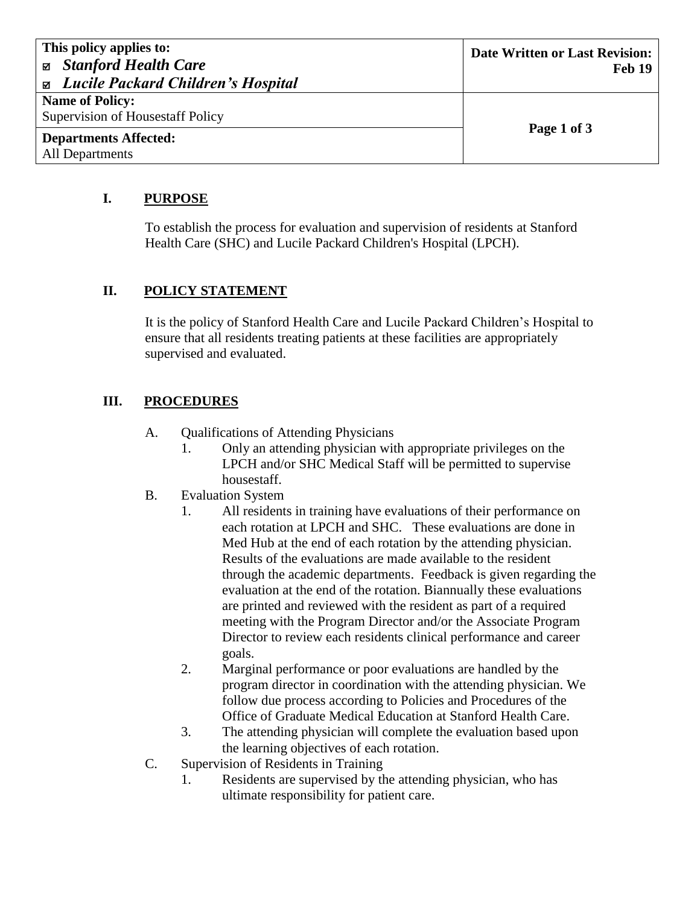| This policy applies to:                            | Date Written or Last Revision: |
|----------------------------------------------------|--------------------------------|
| <b><math>\boxtimes</math></b> Stanford Health Care | <b>Feb 19</b>                  |
| <b>■</b> Lucile Packard Children's Hospital        |                                |
| <b>Name of Policy:</b>                             |                                |
| Supervision of Housestaff Policy                   |                                |
| <b>Departments Affected:</b>                       | Page 1 of 3                    |
| All Departments                                    |                                |

#### **I. PURPOSE**

To establish the process for evaluation and supervision of residents at Stanford Health Care (SHC) and Lucile Packard Children's Hospital (LPCH).

### **II. POLICY STATEMENT**

It is the policy of Stanford Health Care and Lucile Packard Children's Hospital to ensure that all residents treating patients at these facilities are appropriately supervised and evaluated.

### **III. PROCEDURES**

- A. Qualifications of Attending Physicians
	- 1. Only an attending physician with appropriate privileges on the LPCH and/or SHC Medical Staff will be permitted to supervise housestaff.
- B. Evaluation System
	- 1. All residents in training have evaluations of their performance on each rotation at LPCH and SHC. These evaluations are done in Med Hub at the end of each rotation by the attending physician. Results of the evaluations are made available to the resident through the academic departments. Feedback is given regarding the evaluation at the end of the rotation. Biannually these evaluations are printed and reviewed with the resident as part of a required meeting with the Program Director and/or the Associate Program Director to review each residents clinical performance and career goals.
	- 2. Marginal performance or poor evaluations are handled by the program director in coordination with the attending physician. We follow due process according to Policies and Procedures of the Office of Graduate Medical Education at Stanford Health Care.
	- 3. The attending physician will complete the evaluation based upon the learning objectives of each rotation.
- C. Supervision of Residents in Training
	- 1. Residents are supervised by the attending physician, who has ultimate responsibility for patient care.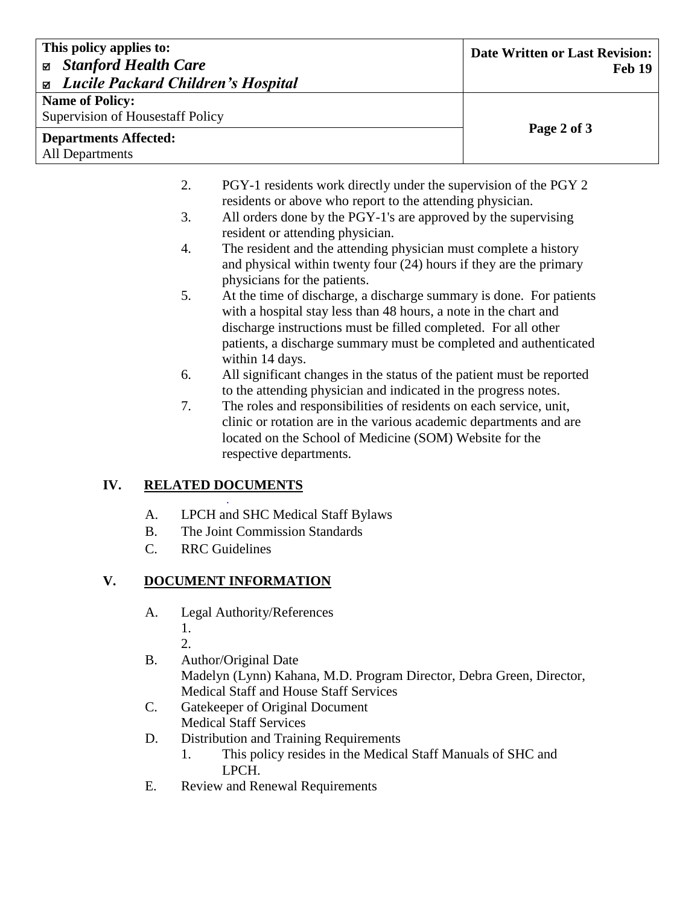| This policy applies to:<br><b>Stanford Health Care</b><br>図 |                                                                                                                               | <b>Date Written or Last Revision:</b><br><b>Feb 19</b> |
|-------------------------------------------------------------|-------------------------------------------------------------------------------------------------------------------------------|--------------------------------------------------------|
| <b><math>\Xi</math></b> Lucile Packard Children's Hospital  |                                                                                                                               |                                                        |
| <b>Name of Policy:</b>                                      |                                                                                                                               |                                                        |
| Supervision of Housestaff Policy                            |                                                                                                                               |                                                        |
| <b>Departments Affected:</b>                                |                                                                                                                               | Page 2 of 3                                            |
| All Departments                                             |                                                                                                                               |                                                        |
| 2.                                                          | PGY-1 residents work directly under the supervision of the PGY 2<br>residents or above who report to the attending physician. |                                                        |
| 3.                                                          | All orders done by the PGY-1's are approved by the supervising                                                                |                                                        |

- resident or attending physician.
- 4. The resident and the attending physician must complete a history and physical within twenty four (24) hours if they are the primary physicians for the patients.
- 5. At the time of discharge, a discharge summary is done. For patients with a hospital stay less than 48 hours, a note in the chart and discharge instructions must be filled completed. For all other patients, a discharge summary must be completed and authenticated within 14 days.
- 6. All significant changes in the status of the patient must be reported to the attending physician and indicated in the progress notes.
- 7. The roles and responsibilities of residents on each service, unit, clinic or rotation are in the various academic departments and are located on the School of Medicine (SOM) Website for the respective departments.

## **IV. RELATED DOCUMENTS**

- . A. LPCH and SHC Medical Staff Bylaws
- B. The Joint Commission Standards
- C. RRC Guidelines

# **V. DOCUMENT INFORMATION**

A. Legal Authority/References

1.

- 2.
- B. Author/Original Date Madelyn (Lynn) Kahana, M.D. Program Director, Debra Green, Director, Medical Staff and House Staff Services
- C. Gatekeeper of Original Document Medical Staff Services
- D. Distribution and Training Requirements
	- 1. This policy resides in the Medical Staff Manuals of SHC and LPCH.
- E. Review and Renewal Requirements